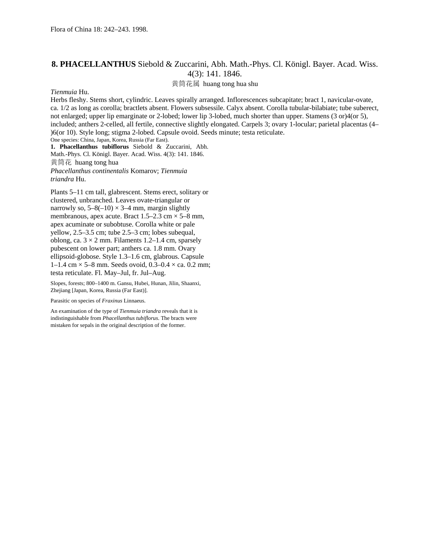## **8. PHACELLANTHUS** Siebold & Zuccarini, Abh. Math.-Phys. Cl. Königl. Bayer. Acad. Wiss. 4(3): 141. 1846.

黄筒花属 huang tong hua shu

## *Tienmuia* Hu.

Herbs fleshy. Stems short, cylindric. Leaves spirally arranged. Inflorescences subcapitate; bract 1, navicular-ovate, ca. 1/2 as long as corolla; bractlets absent. Flowers subsessile. Calyx absent. Corolla tubular-bilabiate; tube suberect, not enlarged; upper lip emarginate or 2-lobed; lower lip 3-lobed, much shorter than upper. Stamens (3 or)4(or 5), included; anthers 2-celled, all fertile, connective slightly elongated. Carpels 3; ovary 1-locular; parietal placentas (4– )6(or 10). Style long; stigma 2-lobed. Capsule ovoid. Seeds minute; testa reticulate. One species: China, Japan, Korea, Russia (Far East). **1. Phacellanthus tubiflorus** Siebold & Zuccarini, Abh.

Math.-Phys. Cl. Königl. Bayer. Acad. Wiss. 4(3): 141. 1846. 黄筒花 huang tong hua *Phacellanthus continentalis* Komarov; *Tienmuia triandra* Hu.

Plants 5–11 cm tall, glabrescent. Stems erect, solitary or clustered, unbranched. Leaves ovate-triangular or narrowly so,  $5-8(-10) \times 3-4$  mm, margin slightly membranous, apex acute. Bract  $1.5-2.3$  cm  $\times$  5–8 mm, apex acuminate or subobtuse. Corolla white or pale yellow, 2.5–3.5 cm; tube 2.5–3 cm; lobes subequal, oblong, ca.  $3 \times 2$  mm. Filaments 1.2–1.4 cm, sparsely pubescent on lower part; anthers ca. 1.8 mm. Ovary ellipsoid-globose. Style 1.3–1.6 cm, glabrous. Capsule 1–1.4 cm  $\times$  5–8 mm. Seeds ovoid, 0.3–0.4  $\times$  ca. 0.2 mm; testa reticulate. Fl. May–Jul, fr. Jul–Aug.

Slopes, forests; 800–1400 m. Gansu, Hubei, Hunan, Jilin, Shaanxi, Zhejiang [Japan, Korea, Russia (Far East)].

Parasitic on species of *Fraxinus* Linnaeus.

An examination of the type of *Tienmuia triandra* reveals that it is indistinguishable from *Phacellanthus tubiflorus*. The bracts were mistaken for sepals in the original description of the former.